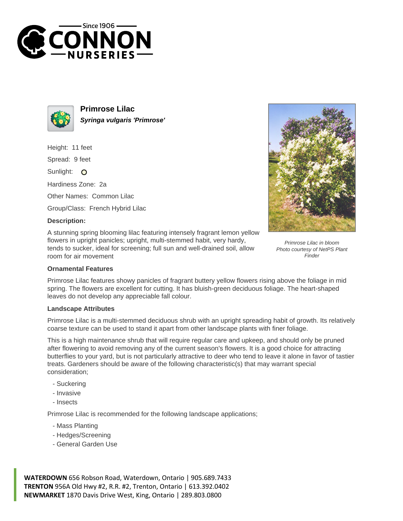



**Primrose Lilac Syringa vulgaris 'Primrose'**

Height: 11 feet

Spread: 9 feet

Sunlight: O

Hardiness Zone: 2a

Other Names: Common Lilac

Group/Class: French Hybrid Lilac

## **Description:**

A stunning spring blooming lilac featuring intensely fragrant lemon yellow flowers in upright panicles; upright, multi-stemmed habit, very hardy, tends to sucker, ideal for screening; full sun and well-drained soil, allow room for air movement



Primrose Lilac in bloom Photo courtesy of NetPS Plant Finder

## **Ornamental Features**

Primrose Lilac features showy panicles of fragrant buttery yellow flowers rising above the foliage in mid spring. The flowers are excellent for cutting. It has bluish-green deciduous foliage. The heart-shaped leaves do not develop any appreciable fall colour.

## **Landscape Attributes**

Primrose Lilac is a multi-stemmed deciduous shrub with an upright spreading habit of growth. Its relatively coarse texture can be used to stand it apart from other landscape plants with finer foliage.

This is a high maintenance shrub that will require regular care and upkeep, and should only be pruned after flowering to avoid removing any of the current season's flowers. It is a good choice for attracting butterflies to your yard, but is not particularly attractive to deer who tend to leave it alone in favor of tastier treats. Gardeners should be aware of the following characteristic(s) that may warrant special consideration;

- Suckering
- Invasive
- Insects

Primrose Lilac is recommended for the following landscape applications;

- Mass Planting
- Hedges/Screening
- General Garden Use

**WATERDOWN** 656 Robson Road, Waterdown, Ontario | 905.689.7433 **TRENTON** 956A Old Hwy #2, R.R. #2, Trenton, Ontario | 613.392.0402 **NEWMARKET** 1870 Davis Drive West, King, Ontario | 289.803.0800